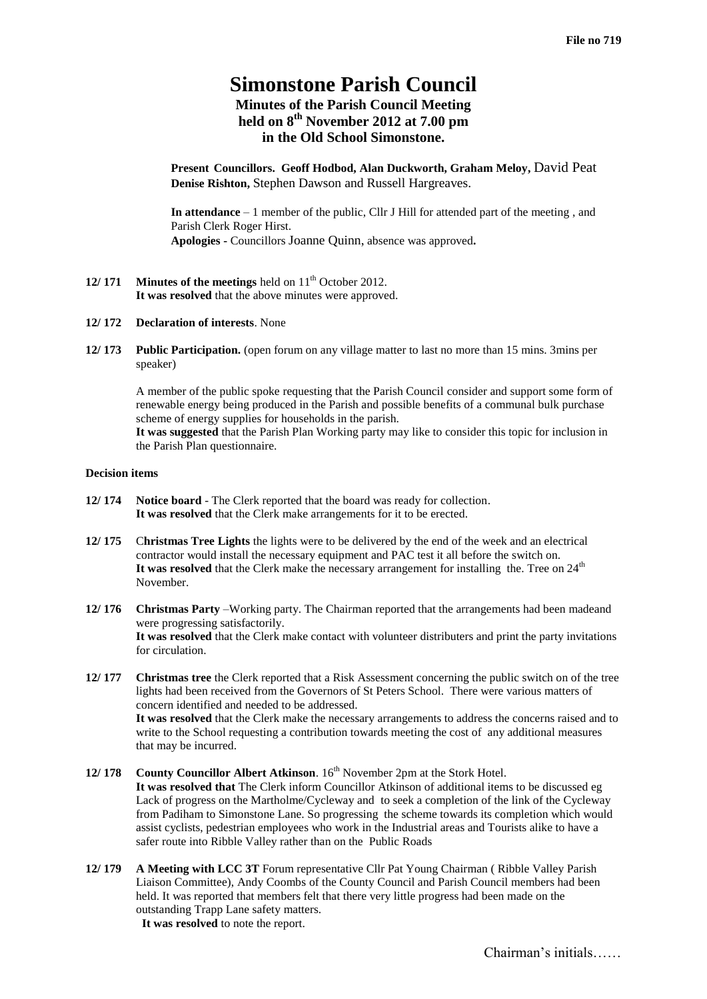# **Simonstone Parish Council Minutes of the Parish Council Meeting held on 8 th November 2012 at 7.00 pm in the Old School Simonstone.**

**Present Councillors. Geoff Hodbod, Alan Duckworth, Graham Meloy,** David Peat **Denise Rishton,** Stephen Dawson and Russell Hargreaves.

**In attendance** – 1 member of the public, Cllr J Hill for attended part of the meeting , and Parish Clerk Roger Hirst. **Apologies -** Councillors Joanne Quinn, absence was approved**.**

- **12/ 171 Minutes of the meetings** held on  $11<sup>th</sup>$  October 2012. **It was resolved** that the above minutes were approved.
- **12/ 172 Declaration of interests**. None
- **12/ 173 Public Participation.** (open forum on any village matter to last no more than 15 mins. 3mins per speaker)

A member of the public spoke requesting that the Parish Council consider and support some form of renewable energy being produced in the Parish and possible benefits of a communal bulk purchase scheme of energy supplies for households in the parish. **It was suggested** that the Parish Plan Working party may like to consider this topic for inclusion in the Parish Plan questionnaire.

## **Decision items**

- **12/ 174 Notice board** The Clerk reported that the board was ready for collection. **It was resolved** that the Clerk make arrangements for it to be erected.
- **12/ 175** C**hristmas Tree Lights** the lights were to be delivered by the end of the week and an electrical contractor would install the necessary equipment and PAC test it all before the switch on. It was resolved that the Clerk make the necessary arrangement for installing the. Tree on 24<sup>th</sup> November.
- **12/ 176 Christmas Party** –Working party. The Chairman reported that the arrangements had been madeand were progressing satisfactorily. **It was resolved** that the Clerk make contact with volunteer distributers and print the party invitations for circulation.
- **12/ 177 Christmas tree** the Clerk reported that a Risk Assessment concerning the public switch on of the tree lights had been received from the Governors of St Peters School. There were various matters of concern identified and needed to be addressed. **It was resolved** that the Clerk make the necessary arrangements to address the concerns raised and to write to the School requesting a contribution towards meeting the cost of any additional measures that may be incurred.
- **12/ 178 County Councillor Albert Atkinson**. 16<sup>th</sup> November 2pm at the Stork Hotel. **It was resolved that** The Clerk inform Councillor Atkinson of additional items to be discussed eg Lack of progress on the Martholme/Cycleway andto seek a completion of the link of the Cycleway from Padiham to Simonstone Lane. So progressing the scheme towards its completion which would assist cyclists, pedestrian employees who work in the Industrial areas and Tourists alike to have a safer route into Ribble Valley rather than on the Public Roads
- **12/ 179 A Meeting with LCC 3T** Forum representative Cllr Pat Young Chairman ( Ribble Valley Parish Liaison Committee), Andy Coombs of the County Council and Parish Council members had been held. It was reported that members felt that there very little progress had been made on the outstanding Trapp Lane safety matters. **It was resolved** to note the report.

Chairman's initials……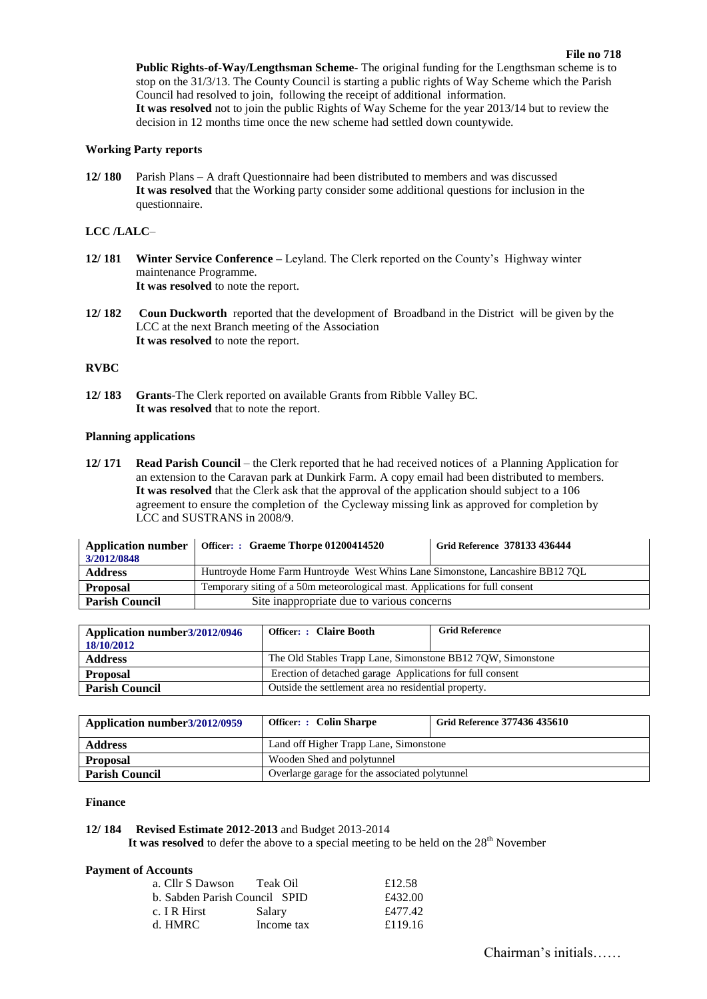**Public Rights-of-Way/Lengthsman Scheme-** The original funding for the Lengthsman scheme is to stop on the 31/3/13. The County Council is starting a public rights of Way Scheme which the Parish Council had resolved to join, following the receipt of additional information. **It was resolved** not to join the public Rights of Way Scheme for the year 2013/14 but to review the decision in 12 months time once the new scheme had settled down countywide.

## **Working Party reports**

**12/ 180** Parish Plans – A draft Questionnaire had been distributed to members and was discussed **It was resolved** that the Working party consider some additional questions for inclusion in the questionnaire.

# **LCC /LALC**–

- **12/ 181 Winter Service Conference –** Leyland. The Clerk reported on the County's Highway winter maintenance Programme. **It was resolved** to note the report.
- **12/ 182 Coun Duckworth** reported that the development of Broadband in the District will be given by the LCC at the next Branch meeting of the Association **It was resolved** to note the report.

#### **RVBC**

**12/ 183 Grants**-The Clerk reported on available Grants from Ribble Valley BC. **It was resolved** that to note the report.

## **Planning applications**

**12/ 171 Read Parish Council** – the Clerk reported that he had received notices of a Planning Application for an extension to the Caravan park at Dunkirk Farm. A copy email had been distributed to members. **It was resolved** that the Clerk ask that the approval of the application should subject to a 106 agreement to ensure the completion of the Cycleway missing link as approved for completion by LCC and SUSTRANS in 2008/9.

| <b>Application number</b><br>3/2012/0848 | Officer: : Graeme Thorpe 01200414520                                          | Grid Reference 378133 436444 |
|------------------------------------------|-------------------------------------------------------------------------------|------------------------------|
| <b>Address</b>                           | Huntroyde Home Farm Huntroyde West Whins Lane Simonstone, Lancashire BB12 7QL |                              |
| <b>Proposal</b>                          | Temporary siting of a 50m meteorological mast. Applications for full consent  |                              |
| <b>Parish Council</b>                    | Site inappropriate due to various concerns                                    |                              |

| Application number 3/2012/0946<br>18/10/2012 | <b>Officer: : Claire Booth</b>                              | <b>Grid Reference</b> |
|----------------------------------------------|-------------------------------------------------------------|-----------------------|
| <b>Address</b>                               | The Old Stables Trapp Lane, Simonstone BB12 7QW, Simonstone |                       |
| <b>Proposal</b>                              | Erection of detached garage Applications for full consent   |                       |
| <b>Parish Council</b>                        | Outside the settlement area no residential property.        |                       |

| Application number 3/2012/0959 | Officer: : Colin Sharpe                        | Grid Reference 377436 435610 |
|--------------------------------|------------------------------------------------|------------------------------|
| <b>Address</b>                 | Land off Higher Trapp Lane, Simonstone         |                              |
| <b>Proposal</b>                | Wooden Shed and polytunnel                     |                              |
| <b>Parish Council</b>          | Overlarge garage for the associated polytunnel |                              |

#### **Finance**

## **12/ 184 Revised Estimate 2012-2013** and Budget 2013-2014

It was resolved to defer the above to a special meeting to be held on the  $28<sup>th</sup>$  November

#### **Payment of Accounts**

| a. Cllr S Dawson              | Teak Oil   | £12.58  |
|-------------------------------|------------|---------|
| b. Sabden Parish Council SPID |            | £432.00 |
| c. I R Hirst                  | Salary     | £477.42 |
| d. HMRC-                      | Income tax | £119.16 |
|                               |            |         |